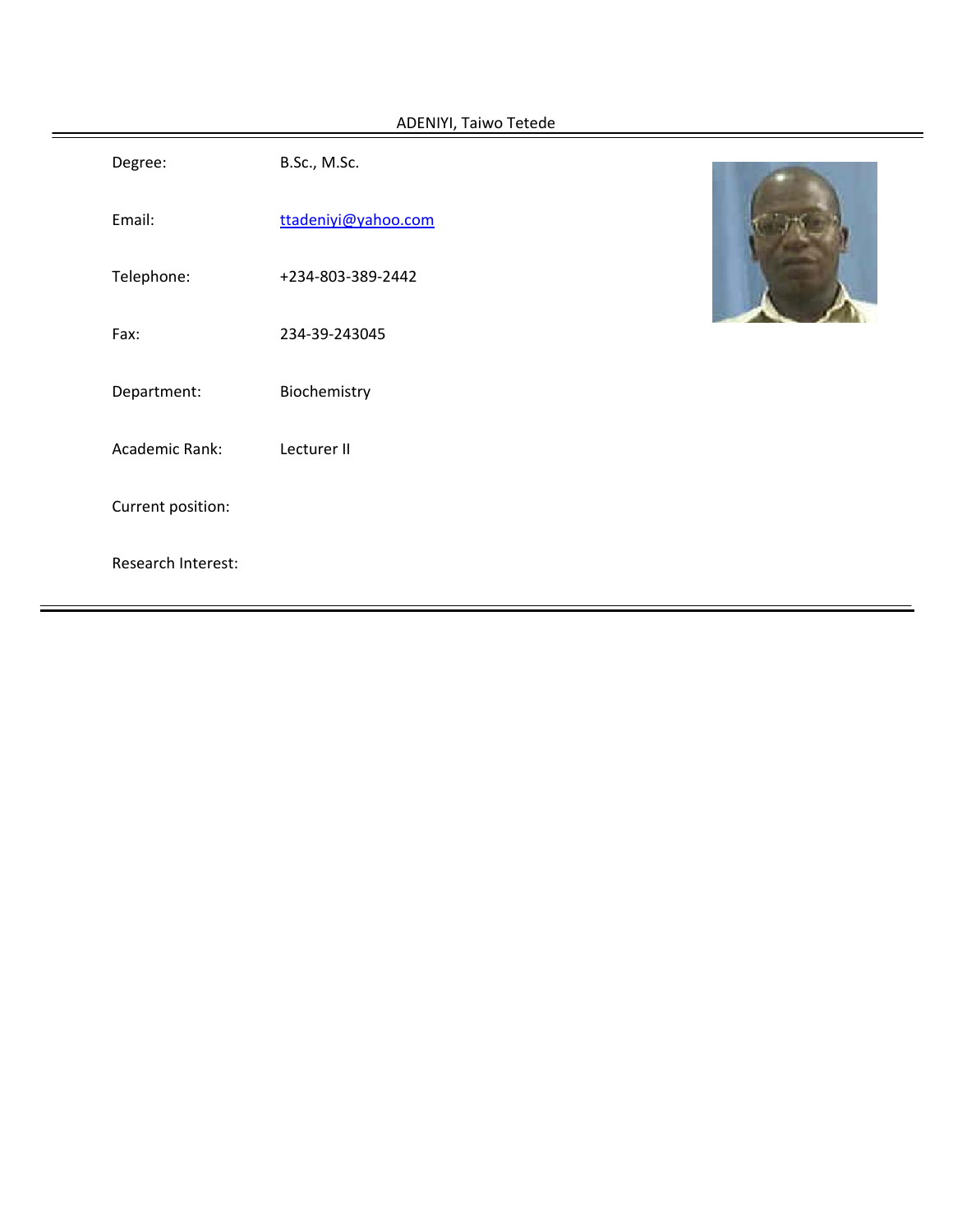| ADENIYI, Taiwo Tetede |                    |                     |  |  |  |  |
|-----------------------|--------------------|---------------------|--|--|--|--|
|                       | Degree:            | B.Sc., M.Sc.        |  |  |  |  |
|                       | Email:             | ttadeniyi@yahoo.com |  |  |  |  |
|                       | Telephone:         | +234-803-389-2442   |  |  |  |  |
|                       | Fax:               | 234-39-243045       |  |  |  |  |
|                       | Department:        | Biochemistry        |  |  |  |  |
|                       | Academic Rank:     | Lecturer II         |  |  |  |  |
|                       | Current position:  |                     |  |  |  |  |
|                       | Research Interest: |                     |  |  |  |  |
|                       |                    |                     |  |  |  |  |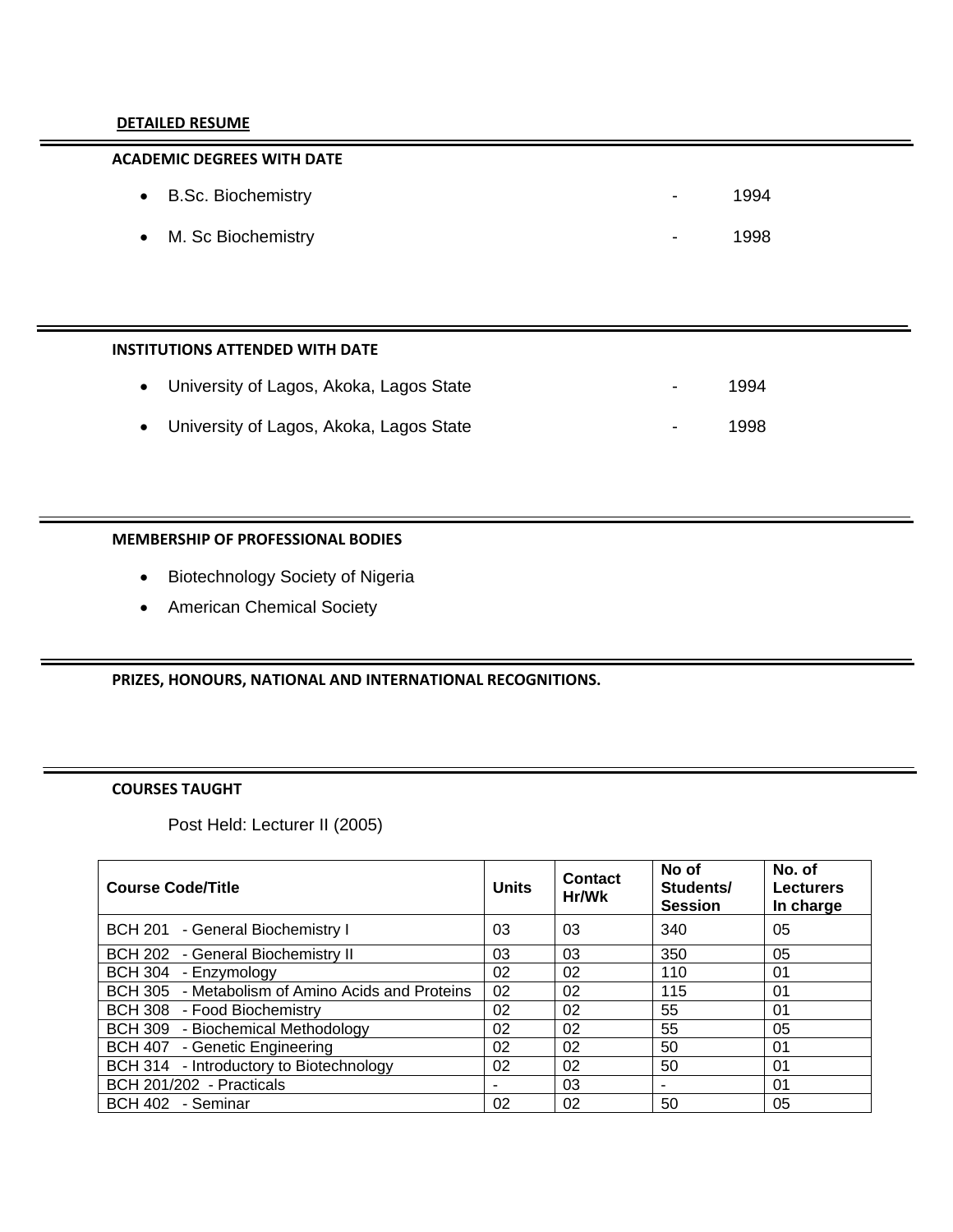#### **DETAILED RESUME**

# **ACADEMIC DEGREES WITH DATE**

| • B.Sc. Biochemistry | <b>Service</b>   | 1994 |
|----------------------|------------------|------|
| • M. Sc Biochemistry | $\sim$ 100 $\mu$ | 1998 |

#### **INSTITUTIONS ATTENDED WITH DATE**

| • University of Lagos, Akoka, Lagos State | $\sim$ | 1994 |
|-------------------------------------------|--------|------|
| • University of Lagos, Akoka, Lagos State | $\sim$ | 1998 |

# **MEMBERSHIP OF PROFESSIONAL BODIES**

- Biotechnology Society of Nigeria
- American Chemical Society

#### **PRIZES, HONOURS, NATIONAL AND INTERNATIONAL RECOGNITIONS.**

# **COURSES TAUGHT**

Post Held: Lecturer II (2005)

| <b>Course Code/Title</b>                         | <b>Units</b> | <b>Contact</b><br>Hr/Wk | No of<br>Students/<br><b>Session</b> | No. of<br><b>Lecturers</b><br>In charge |
|--------------------------------------------------|--------------|-------------------------|--------------------------------------|-----------------------------------------|
| BCH 201 - General Biochemistry I                 | 03           | 03                      | 340                                  | 05                                      |
| BCH 202 - General Biochemistry II                | 03           | 03                      | 350                                  | 05                                      |
| BCH 304 - Enzymology                             | 02           | 02                      | 110                                  | 01                                      |
| BCH 305 - Metabolism of Amino Acids and Proteins | 02           | 02                      | 115                                  | 01                                      |
| BCH 308 - Food Biochemistry                      | 02           | 02                      | 55                                   | 01                                      |
| BCH 309 - Biochemical Methodology                | 02           | 02                      | 55                                   | 05                                      |
| BCH 407 - Genetic Engineering                    | 02           | 02                      | 50                                   | 01                                      |
| BCH 314 - Introductory to Biotechnology          | 02           | 02                      | 50                                   | 01                                      |
| BCH 201/202 - Practicals                         | -            | 03                      |                                      | 01                                      |
| BCH 402 - Seminar                                | 02           | 02                      | 50                                   | 05                                      |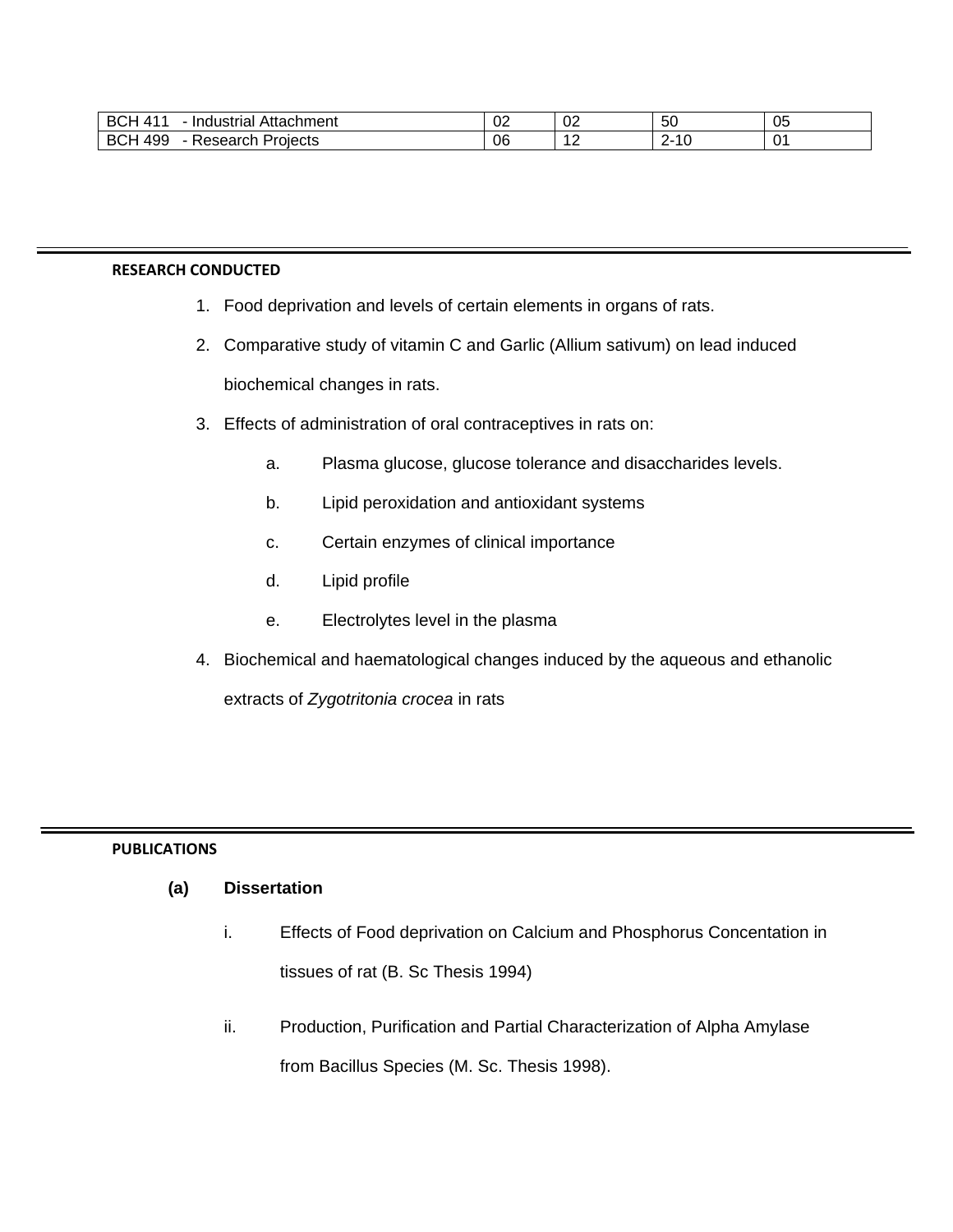| <b>BCH</b><br>А<br>Attachment<br>Industrial | $\sim$<br>◡▵ | $\sim$<br>ັບ∠ | 50 | 05          |
|---------------------------------------------|--------------|---------------|----|-------------|
| 499<br><b>BCH</b><br>Projects<br>'esearch   | 06           | . .           |    | $\sim$<br>◡ |

### **RESEARCH CONDUCTED**

- 1. Food deprivation and levels of certain elements in organs of rats.
- 2. Comparative study of vitamin C and Garlic (Allium sativum) on lead induced biochemical changes in rats.
- 3. Effects of administration of oral contraceptives in rats on:
	- a. Plasma glucose, glucose tolerance and disaccharides levels.
	- b. Lipid peroxidation and antioxidant systems
	- c. Certain enzymes of clinical importance
	- d. Lipid profile
	- e. Electrolytes level in the plasma
- 4. Biochemical and haematological changes induced by the aqueous and ethanolic

extracts of *Zygotritonia crocea* in rats

# **PUBLICATIONS**

# **(a) Dissertation**

- i. Effects of Food deprivation on Calcium and Phosphorus Concentation in tissues of rat (B. Sc Thesis 1994)
- ii. Production, Purification and Partial Characterization of Alpha Amylase from Bacillus Species (M. Sc. Thesis 1998).